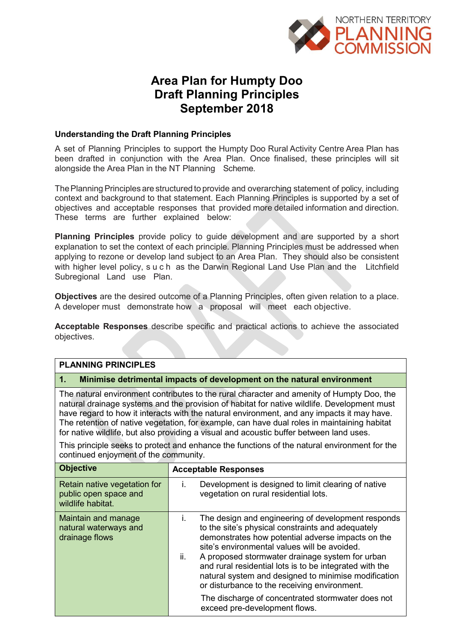

# **Area Plan for Humpty Doo Draft Planning Principles September 2018**

#### **Understanding the Draft Planning Principles**

A set of Planning Principles to support the Humpty Doo Rural Activity Centre Area Plan has been drafted in conjunction with the Area Plan. Once finalised, these principles will sit alongside the Area Plan in the NT Planning Scheme.

The Planning Principles are structured to provide and overarching statement of policy, including context and background to that statement. Each Planning Principles is supported by a set of objectives and acceptable responses that provided more detailed information and direction. These terms are further explained below:

**Planning Principles** provide policy to guide development and are supported by a short explanation to set the context of each principle. Planning Principles must be addressed when applying to rezone or develop land subject to an Area Plan. They should also be consistent with higher level policy, such as the Darwin Regional Land Use Plan and the Litchfield Subregional Land use Plan.

**Objectives** are the desired outcome of a Planning Principles, often given relation to a place. A developer must demonstrate how a proposal will meet each objective.

**Acceptable Responses** describe specific and practical actions to achieve the associated objectives.

# **PLANNING PRINCIPLES 1. Minimise detrimental impacts of development on the natural environment**

The natural environment contributes to the rural character and amenity of Humpty Doo, the natural drainage systems and the provision of habitat for native wildlife. Development must have regard to how it interacts with the natural environment, and any impacts it may have. The retention of native vegetation, for example, can have dual roles in maintaining habitat for native wildlife, but also providing a visual and acoustic buffer between land uses.

This principle seeks to protect and enhance the functions of the natural environment for the continued enjoyment of the community.

| <b>Objective</b>                                                           | <b>Acceptable Responses</b>                                                                                                                                                                                                                                                                                                                                                                                                                     |
|----------------------------------------------------------------------------|-------------------------------------------------------------------------------------------------------------------------------------------------------------------------------------------------------------------------------------------------------------------------------------------------------------------------------------------------------------------------------------------------------------------------------------------------|
| Retain native vegetation for<br>public open space and<br>wildlife habitat. | Development is designed to limit clearing of native<br>L.<br>vegetation on rural residential lots.                                                                                                                                                                                                                                                                                                                                              |
| Maintain and manage<br>natural waterways and<br>drainage flows             | The design and engineering of development responds<br>İ.<br>to the site's physical constraints and adequately<br>demonstrates how potential adverse impacts on the<br>site's environmental values will be avoided.<br>ii.<br>A proposed stormwater drainage system for urban<br>and rural residential lots is to be integrated with the<br>natural system and designed to minimise modification<br>or disturbance to the receiving environment. |
|                                                                            | The discharge of concentrated stormwater does not<br>exceed pre-development flows.                                                                                                                                                                                                                                                                                                                                                              |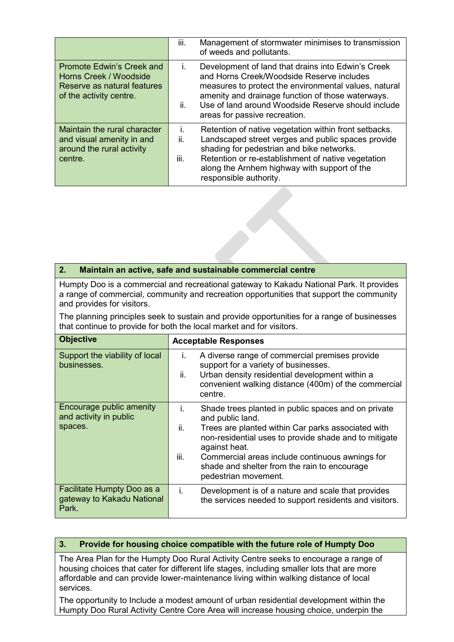|                                                                                                               | iii.              | Management of stormwater minimises to transmission<br>of weeds and pollutants.                                                                                                                                                                                                                       |
|---------------------------------------------------------------------------------------------------------------|-------------------|------------------------------------------------------------------------------------------------------------------------------------------------------------------------------------------------------------------------------------------------------------------------------------------------------|
| Promote Edwin's Creek and<br>Horns Creek / Woodside<br>Reserve as natural features<br>of the activity centre. | Ĺ.<br>ii.         | Development of land that drains into Edwin's Creek<br>and Horns Creek/Woodside Reserve includes<br>measures to protect the environmental values, natural<br>amenity and drainage function of those waterways.<br>Use of land around Woodside Reserve should include<br>areas for passive recreation. |
| Maintain the rural character<br>and visual amenity in and<br>around the rural activity<br>centre.             | İ.<br>ii.<br>iii. | Retention of native vegetation within front setbacks.<br>Landscaped street verges and public spaces provide<br>shading for pedestrian and bike networks.<br>Retention or re-establishment of native vegetation<br>along the Arnhem highway with support of the<br>responsible authority.             |

# **2. Maintain an active, safe and sustainable commercial centre**

Humpty Doo is a commercial and recreational gateway to Kakadu National Park. It provides a range of commercial, community and recreation opportunities that support the community and provides for visitors.

The planning principles seek to sustain and provide opportunities for a range of businesses that continue to provide for both the local market and for visitors.

| <b>Objective</b>                                                  | <b>Acceptable Responses</b>                                                                                                                                                                                                                                                                                                                             |
|-------------------------------------------------------------------|---------------------------------------------------------------------------------------------------------------------------------------------------------------------------------------------------------------------------------------------------------------------------------------------------------------------------------------------------------|
| Support the viability of local<br>businesses.                     | A diverse range of commercial premises provide<br>İ.<br>support for a variety of businesses.<br>ii.<br>Urban density residential development within a<br>convenient walking distance (400m) of the commercial<br>centre.                                                                                                                                |
| Encourage public amenity<br>and activity in public<br>spaces.     | Shade trees planted in public spaces and on private<br>İ.<br>and public land.<br>ii.<br>Trees are planted within Car parks associated with<br>non-residential uses to provide shade and to mitigate<br>against heat.<br>iii.<br>Commercial areas include continuous awnings for<br>shade and shelter from the rain to encourage<br>pedestrian movement. |
| Facilitate Humpty Doo as a<br>gateway to Kakadu National<br>Park. | İ.<br>Development is of a nature and scale that provides<br>the services needed to support residents and visitors.                                                                                                                                                                                                                                      |

# **3. Provide for housing choice compatible with the future role of Humpty Doo**

The Area Plan for the Humpty Doo Rural Activity Centre seeks to encourage a range of housing choices that cater for different life stages, including smaller lots that are more affordable and can provide lower-maintenance living within walking distance of local services.

The opportunity to Include a modest amount of urban residential development within the Humpty Doo Rural Activity Centre Core Area will increase housing choice, underpin the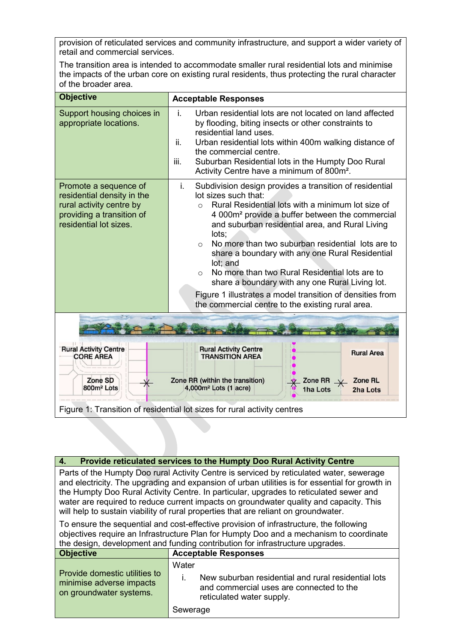provision of reticulated services and community infrastructure, and support a wider variety of retail and commercial services.

The transition area is intended to accommodate smaller rural residential lots and minimise the impacts of the urban core on existing rural residents, thus protecting the rural character of the broader area.

| <b>Objective</b>                                                                                                                       | <b>Acceptable Responses</b>                                                                                                                                                                                                                                                                                                                                                                                                                                                                                                                                                                                                                         |  |
|----------------------------------------------------------------------------------------------------------------------------------------|-----------------------------------------------------------------------------------------------------------------------------------------------------------------------------------------------------------------------------------------------------------------------------------------------------------------------------------------------------------------------------------------------------------------------------------------------------------------------------------------------------------------------------------------------------------------------------------------------------------------------------------------------------|--|
| Support housing choices in<br>appropriate locations.                                                                                   | i.<br>Urban residential lots are not located on land affected<br>by flooding, biting insects or other constraints to<br>residential land uses.<br>Urban residential lots within 400m walking distance of<br>ii.<br>the commercial centre.<br>Suburban Residential lots in the Humpty Doo Rural<br>iii.<br>Activity Centre have a minimum of 800m <sup>2</sup> .                                                                                                                                                                                                                                                                                     |  |
| Promote a sequence of<br>residential density in the<br>rural activity centre by<br>providing a transition of<br>residential lot sizes. | i.<br>Subdivision design provides a transition of residential<br>lot sizes such that:<br>Rural Residential lots with a minimum lot size of<br>$\Omega$<br>4 000m <sup>2</sup> provide a buffer between the commercial<br>and suburban residential area, and Rural Living<br>lots:<br>No more than two suburban residential lots are to<br>$\circ$<br>share a boundary with any one Rural Residential<br>lot; and<br>No more than two Rural Residential lots are to<br>$\Omega$<br>share a boundary with any one Rural Living lot.<br>Figure 1 illustrates a model transition of densities from<br>the commercial centre to the existing rural area. |  |
|                                                                                                                                        |                                                                                                                                                                                                                                                                                                                                                                                                                                                                                                                                                                                                                                                     |  |
| <b>Rural Activity Centre</b><br><b>CORE AREA</b>                                                                                       | <b>Rural Activity Centre</b><br><b>Rural Area</b><br><b>TRANSITION AREA</b>                                                                                                                                                                                                                                                                                                                                                                                                                                                                                                                                                                         |  |
| Zone SD<br>800m <sup>2</sup> Lots                                                                                                      | Zone RR (within the transition)<br><b>Zone RL</b><br>Zone RR<br>4,000m <sup>2</sup> Lots (1 acre)<br>1ha Lots<br>2ha Lots                                                                                                                                                                                                                                                                                                                                                                                                                                                                                                                           |  |
|                                                                                                                                        | Figure 1: Transition of residential lot sizes for rural activity centres                                                                                                                                                                                                                                                                                                                                                                                                                                                                                                                                                                            |  |

| 4. Provide reliculated services to the Humply Doo Kural Activity Gentre                        |
|------------------------------------------------------------------------------------------------|
| Parts of the Humpty Doo rural Activity Centre is serviced by reticulated water, sewerage       |
| and electricity. The upgrading and expansion of urban utilities is for essential for growth in |

**4. Provide reticulated services to the Humpty Doo Rural Activity Centre**

the Humpty Doo Rural Activity Centre. In particular, upgrades to reticulated sewer and water are required to reduce current impacts on groundwater quality and capacity. This will help to sustain viability of rural properties that are reliant on groundwater.

To ensure the sequential and cost-effective provision of infrastructure, the following objectives require an Infrastructure Plan for Humpty Doo and a mechanism to coordinate the design, development and funding contribution for infrastructure upgrades.

| ∣ Objective                                                                          | <b>Acceptable Responses</b>                                                                                                           |
|--------------------------------------------------------------------------------------|---------------------------------------------------------------------------------------------------------------------------------------|
| Provide domestic utilities to<br>minimise adverse impacts<br>on groundwater systems. | Water<br>New suburban residential and rural residential lots<br>and commercial uses are connected to the<br>reticulated water supply. |
|                                                                                      | Sewerage                                                                                                                              |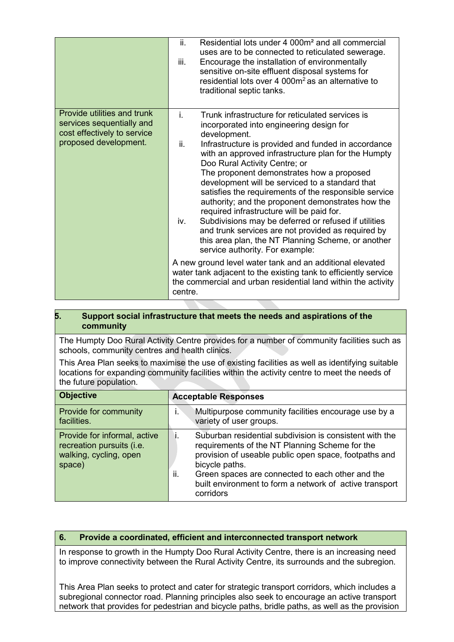|                                                                                                                  | ii.<br>Residential lots under 4 000m <sup>2</sup> and all commercial<br>uses are to be connected to reticulated sewerage.<br>iii.<br>Encourage the installation of environmentally<br>sensitive on-site effluent disposal systems for<br>residential lots over 4 000m <sup>2</sup> as an alternative to<br>traditional septic tanks.                                                                                                                                                                                                                                                                                                                                                                                                                                                                                                                                                                                                                         |
|------------------------------------------------------------------------------------------------------------------|--------------------------------------------------------------------------------------------------------------------------------------------------------------------------------------------------------------------------------------------------------------------------------------------------------------------------------------------------------------------------------------------------------------------------------------------------------------------------------------------------------------------------------------------------------------------------------------------------------------------------------------------------------------------------------------------------------------------------------------------------------------------------------------------------------------------------------------------------------------------------------------------------------------------------------------------------------------|
| Provide utilities and trunk<br>services sequentially and<br>cost effectively to service<br>proposed development. | Trunk infrastructure for reticulated services is<br>i.<br>incorporated into engineering design for<br>development.<br>ii.<br>Infrastructure is provided and funded in accordance<br>with an approved infrastructure plan for the Humpty<br>Doo Rural Activity Centre; or<br>The proponent demonstrates how a proposed<br>development will be serviced to a standard that<br>satisfies the requirements of the responsible service<br>authority; and the proponent demonstrates how the<br>required infrastructure will be paid for.<br>Subdivisions may be deferred or refused if utilities<br>iv.<br>and trunk services are not provided as required by<br>this area plan, the NT Planning Scheme, or another<br>service authority. For example:<br>A new ground level water tank and an additional elevated<br>water tank adjacent to the existing tank to efficiently service<br>the commercial and urban residential land within the activity<br>centre. |

# **5. Support social infrastructure that meets the needs and aspirations of the community**

The Humpty Doo Rural Activity Centre provides for a number of community facilities such as schools, community centres and health clinics.

This Area Plan seeks to maximise the use of existing facilities as well as identifying suitable locations for expanding community facilities within the activity centre to meet the needs of the future population.

| <b>Objective</b>                                                                              | <b>Acceptable Responses</b>                                                                                                                                                                                                                                                                                             |
|-----------------------------------------------------------------------------------------------|-------------------------------------------------------------------------------------------------------------------------------------------------------------------------------------------------------------------------------------------------------------------------------------------------------------------------|
| Provide for community<br>facilities.                                                          | Multipurpose community facilities encourage use by a<br>variety of user groups.                                                                                                                                                                                                                                         |
| Provide for informal, active<br>recreation pursuits (i.e.<br>walking, cycling, open<br>space) | Suburban residential subdivision is consistent with the<br>requirements of the NT Planning Scheme for the<br>provision of useable public open space, footpaths and<br>bicycle paths.<br>Green spaces are connected to each other and the<br>ii.<br>built environment to form a network of active transport<br>corridors |

# **6. Provide a coordinated, efficient and interconnected transport network**

In response to growth in the Humpty Doo Rural Activity Centre, there is an increasing need to improve connectivity between the Rural Activity Centre, its surrounds and the subregion.

This Area Plan seeks to protect and cater for strategic transport corridors, which includes a subregional connector road. Planning principles also seek to encourage an active transport network that provides for pedestrian and bicycle paths, bridle paths, as well as the provision